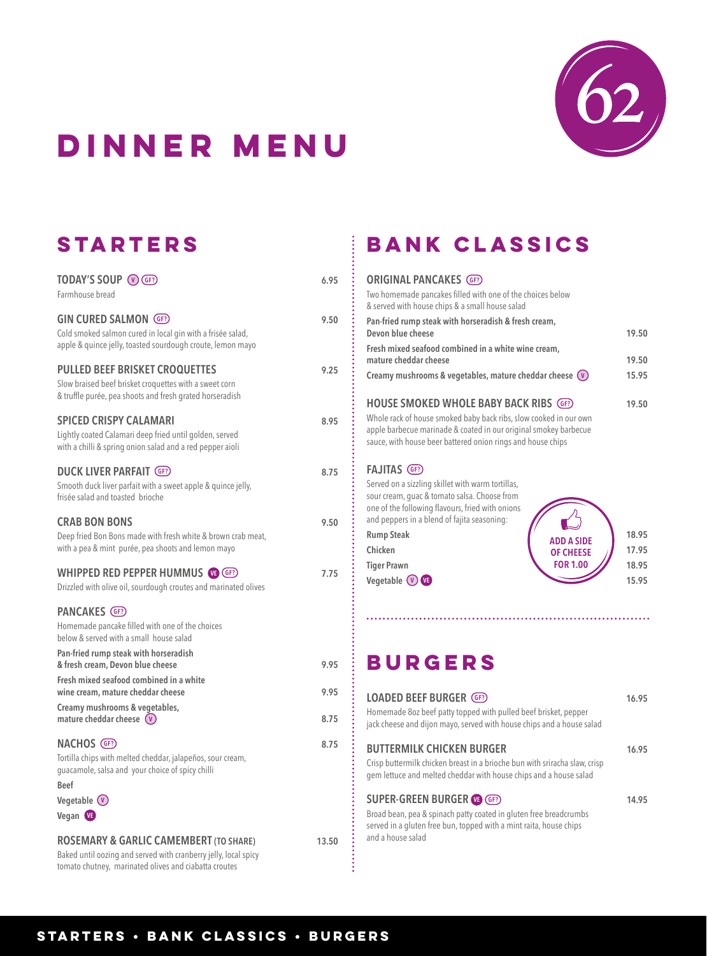

# **dinner menu**

## **Starters**

| TODAY'S SOUP (V GF?)<br>Farmhouse bread                                                                                                                                                                                                                                   | 6.95         |
|---------------------------------------------------------------------------------------------------------------------------------------------------------------------------------------------------------------------------------------------------------------------------|--------------|
| <b>GIN CURED SALMON GF?</b><br>Cold smoked salmon cured in local gin with a frisée salad,<br>apple & quince jelly, toasted sourdough croute, lemon mayo                                                                                                                   | 9.50         |
| <b>PULLED BEEF BRISKET CROQUETTES</b><br>Slow braised beef brisket croquettes with a sweet corn<br>& truffle purée, pea shoots and fresh grated horseradish                                                                                                               | 9.25         |
| <b>SPICED CRISPY CALAMARI</b><br>Lightly coated Calamari deep fried until golden, served<br>with a chilli & spring onion salad and a red pepper aioli                                                                                                                     | 8.95         |
| <b>DUCK LIVER PARFAIT (GF?)</b><br>Smooth duck liver parfait with a sweet apple & quince jelly,<br>frisée salad and toasted brioche                                                                                                                                       | 8.75         |
| <b>CRAB BON BONS</b><br>Deep fried Bon Bons made with fresh white & brown crab meat,<br>with a pea & mint purée, pea shoots and lemon mayo                                                                                                                                | 9.50         |
| WHIPPED RED PEPPER HUMMUS (GF?)<br>Drizzled with olive oil, sourdough croutes and marinated olives                                                                                                                                                                        | 7.75         |
| PANCAKES (GF?)<br>Homemade pancake filled with one of the choices<br>below & served with a small house salad<br>Pan-fried rump steak with horseradish<br>& fresh cream, Devon blue cheese<br>Fresh mixed seafood combined in a white<br>wine cream, mature cheddar cheese | 9.95<br>9.95 |
| Creamy mushrooms & vegetables,<br>mature cheddar cheese $(v)$                                                                                                                                                                                                             | 8.75         |
| NACHOS (GF?)<br>Tortilla chips with melted cheddar, jalapeños, sour cream,<br>guacamole, salsa and your choice of spicy chilli<br><b>Beef</b><br>Vegetable (v)<br>Vegan VE                                                                                                | 8.75         |
| <b>ROSEMARY &amp; GARLIC CAMEMBERT (TO SHARE)</b>                                                                                                                                                                                                                         | 13.50        |

Baked until oozing and served with cranberry jelly, local spicy tomato chutney, marinated olives and ciabatta croutes

### **BANK CLASSICS**

| <b>ORIGINAL PANCAKES GF?</b>                                                                                                          |       |
|---------------------------------------------------------------------------------------------------------------------------------------|-------|
| Two homemade pancakes filled with one of the choices below<br>& served with house chips & a small house salad                         |       |
| Pan-fried rump steak with horseradish & fresh cream,                                                                                  |       |
| Devon blue cheese                                                                                                                     | 19.50 |
| Fresh mixed seafood combined in a white wine cream,                                                                                   |       |
| mature cheddar cheese                                                                                                                 | 19.50 |
| Creamy mushrooms & vegetables, mature cheddar cheese $(v)$                                                                            | 15.95 |
|                                                                                                                                       |       |
| <b>HOUSE SMOKED WHOLE BABY BACK RIBS GF?</b>                                                                                          | 19.50 |
| Whole rack of house smoked baby back ribs, slow cooked in our own<br>apple barbecue marinade & coated in our original smokey barbecue |       |

sauce, with house beer battered onion rings and house chips

#### **FAJITAS GF?**

Served on a sizzling skillet with warm tortillas, sour cream, guac & tomato salsa. Choose from one of the following flavours, fried with onions and peppers in a blend of fajita seasoning: **Rump Steak 18.95 Chicken 17.95 OF CHEESE Tiger Prawn 18.95 Vegetable**  $\overline{V}$  **<b>VE 15.95 ADD A SIDE FOR 1.00**

#### **BURGERS**

t

| <b>LOADED BEEF BURGER (GF?)</b><br>Homemade 8oz beef patty topped with pulled beef brisket, pepper<br>jack cheese and dijon mayo, served with house chips and a house salad                     | 16.95 |
|-------------------------------------------------------------------------------------------------------------------------------------------------------------------------------------------------|-------|
| <b>BUTTERMILK CHICKEN BURGER</b><br>Crisp buttermilk chicken breast in a brioche bun with sriracha slaw, crisp<br>gem lettuce and melted cheddar with house chips and a house salad             | 16.95 |
| <b>SUPER-GREEN BURGER @ GF?</b><br>Broad bean, pea & spinach patty coated in gluten free breadcrumbs<br>served in a gluten free bun, topped with a mint raita, house chips<br>and a house salad | 14.95 |

#### **starters • BANK CLASSICS • BURGERS**